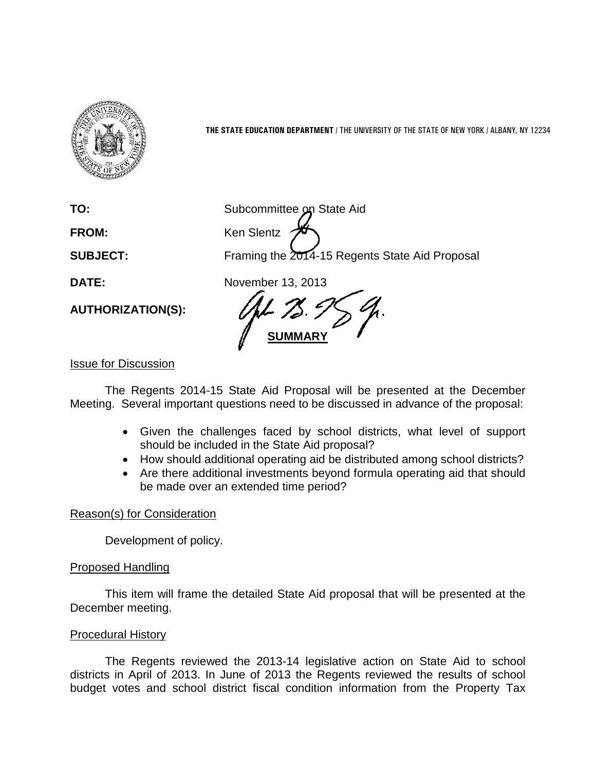

**THE STATE EDUCATION DEPARTMENT** / THE UNIVERSITY OF THE STATE OF NEW YORK / ALBANY, NY 12234

**AUTHORIZATION(S):**

**TO:** Subcommittee on State Aid FROM: Ken Slentz **SUBJECT:** Framing the 2014-15 Regents State Aid Proposal

**DATE:** November 13, 2013

**SUMMARY**

## Issue for Discussion

The Regents 2014-15 State Aid Proposal will be presented at the December Meeting. Several important questions need to be discussed in advance of the proposal:

- Given the challenges faced by school districts, what level of support should be included in the State Aid proposal?
- How should additional operating aid be distributed among school districts?
- Are there additional investments beyond formula operating aid that should be made over an extended time period?

## Reason(s) for Consideration

Development of policy.

#### Proposed Handling

This item will frame the detailed State Aid proposal that will be presented at the December meeting.

#### Procedural History

The Regents reviewed the 2013-14 legislative action on State Aid to school districts in April of 2013. In June of 2013 the Regents reviewed the results of school budget votes and school district fiscal condition information from the Property Tax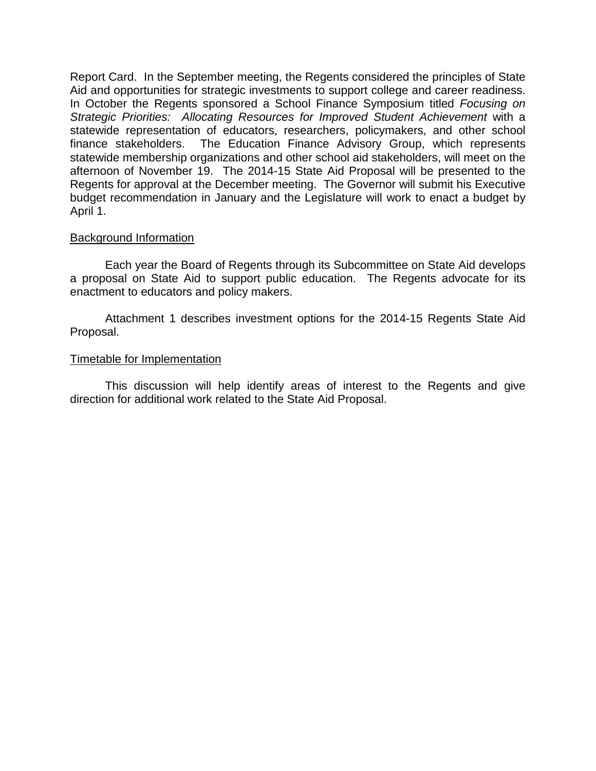Report Card. In the September meeting, the Regents considered the principles of State Aid and opportunities for strategic investments to support college and career readiness. In October the Regents sponsored a School Finance Symposium titled *Focusing on Strategic Priorities: Allocating Resources for Improved Student Achievement* with a statewide representation of educators, researchers, policymakers, and other school finance stakeholders. The Education Finance Advisory Group, which represents statewide membership organizations and other school aid stakeholders, will meet on the afternoon of November 19. The 2014-15 State Aid Proposal will be presented to the Regents for approval at the December meeting. The Governor will submit his Executive budget recommendation in January and the Legislature will work to enact a budget by April 1.

#### Background Information

Each year the Board of Regents through its Subcommittee on State Aid develops a proposal on State Aid to support public education. The Regents advocate for its enactment to educators and policy makers.

Attachment 1 describes investment options for the 2014-15 Regents State Aid Proposal.

#### Timetable for Implementation

This discussion will help identify areas of interest to the Regents and give direction for additional work related to the State Aid Proposal.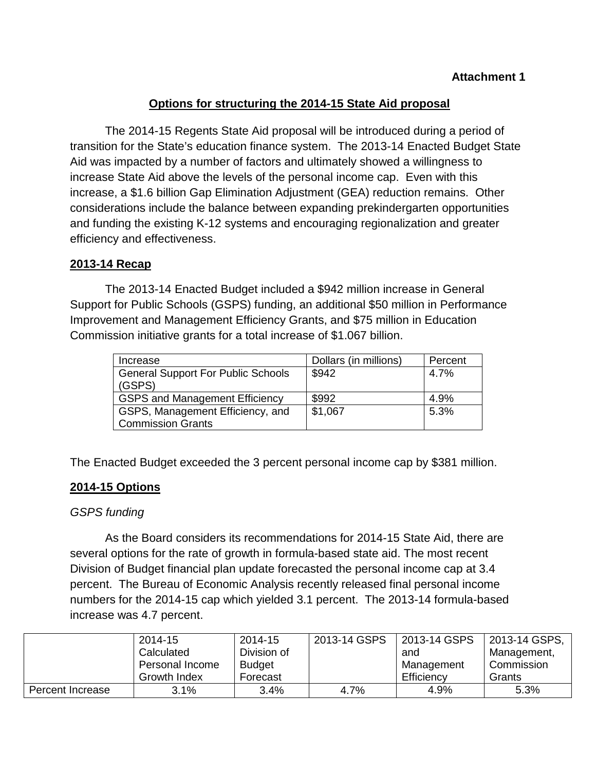# **Options for structuring the 2014-15 State Aid proposal**

The 2014-15 Regents State Aid proposal will be introduced during a period of transition for the State's education finance system. The 2013-14 Enacted Budget State Aid was impacted by a number of factors and ultimately showed a willingness to increase State Aid above the levels of the personal income cap. Even with this increase, a \$1.6 billion Gap Elimination Adjustment (GEA) reduction remains. Other considerations include the balance between expanding prekindergarten opportunities and funding the existing K-12 systems and encouraging regionalization and greater efficiency and effectiveness.

## **2013-14 Recap**

The 2013-14 Enacted Budget included a \$942 million increase in General Support for Public Schools (GSPS) funding, an additional \$50 million in Performance Improvement and Management Efficiency Grants, and \$75 million in Education Commission initiative grants for a total increase of \$1.067 billion.

| Increase                                  | Dollars (in millions) | Percent |
|-------------------------------------------|-----------------------|---------|
| <b>General Support For Public Schools</b> | \$942                 | 4.7%    |
| (GSPS)                                    |                       |         |
| <b>GSPS and Management Efficiency</b>     | \$992                 | 4.9%    |
| GSPS, Management Efficiency, and          | \$1,067               | 5.3%    |
| <b>Commission Grants</b>                  |                       |         |

The Enacted Budget exceeded the 3 percent personal income cap by \$381 million.

## **2014-15 Options**

## *GSPS funding*

As the Board considers its recommendations for 2014-15 State Aid, there are several options for the rate of growth in formula-based state aid. The most recent Division of Budget financial plan update forecasted the personal income cap at 3.4 percent. The Bureau of Economic Analysis recently released final personal income numbers for the 2014-15 cap which yielded 3.1 percent. The 2013-14 formula-based increase was 4.7 percent.

|                  | 2014-15         | 2014-15       | 2013-14 GSPS | 2013-14 GSPS | 2013-14 GSPS, |
|------------------|-----------------|---------------|--------------|--------------|---------------|
|                  | Calculated      | Division of   |              | and          | Management,   |
|                  | Personal Income | <b>Budget</b> |              | Management   | Commission    |
|                  | Growth Index    | Forecast      |              | Efficiency   | Grants        |
| Percent Increase | 3.1%            | 3.4%          | 4.7%         | 4.9%         | 5.3%          |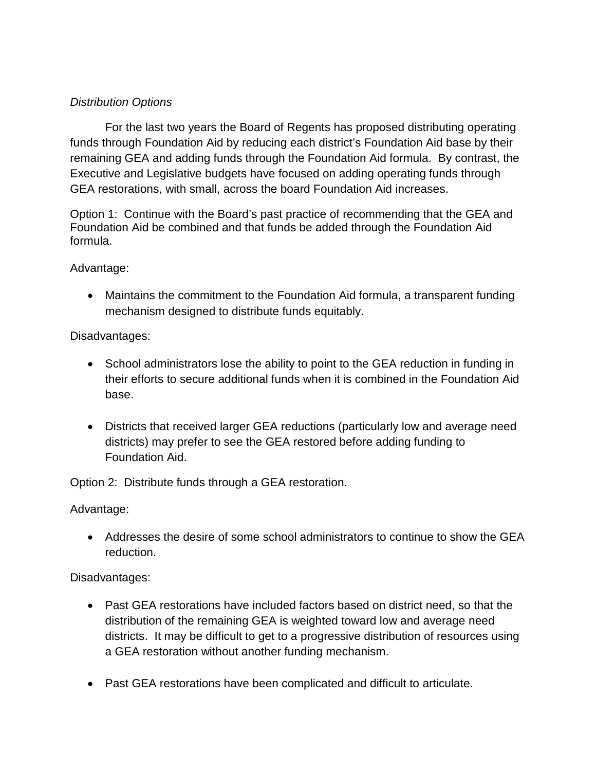# *Distribution Options*

For the last two years the Board of Regents has proposed distributing operating funds through Foundation Aid by reducing each district's Foundation Aid base by their remaining GEA and adding funds through the Foundation Aid formula. By contrast, the Executive and Legislative budgets have focused on adding operating funds through GEA restorations, with small, across the board Foundation Aid increases.

Option 1: Continue with the Board's past practice of recommending that the GEA and Foundation Aid be combined and that funds be added through the Foundation Aid formula.

#### Advantage:

• Maintains the commitment to the Foundation Aid formula, a transparent funding mechanism designed to distribute funds equitably.

#### Disadvantages:

- School administrators lose the ability to point to the GEA reduction in funding in their efforts to secure additional funds when it is combined in the Foundation Aid base.
- Districts that received larger GEA reductions (particularly low and average need districts) may prefer to see the GEA restored before adding funding to Foundation Aid.

Option 2: Distribute funds through a GEA restoration.

Advantage:

• Addresses the desire of some school administrators to continue to show the GEA reduction.

## Disadvantages:

- Past GEA restorations have included factors based on district need, so that the distribution of the remaining GEA is weighted toward low and average need districts. It may be difficult to get to a progressive distribution of resources using a GEA restoration without another funding mechanism.
- Past GEA restorations have been complicated and difficult to articulate.